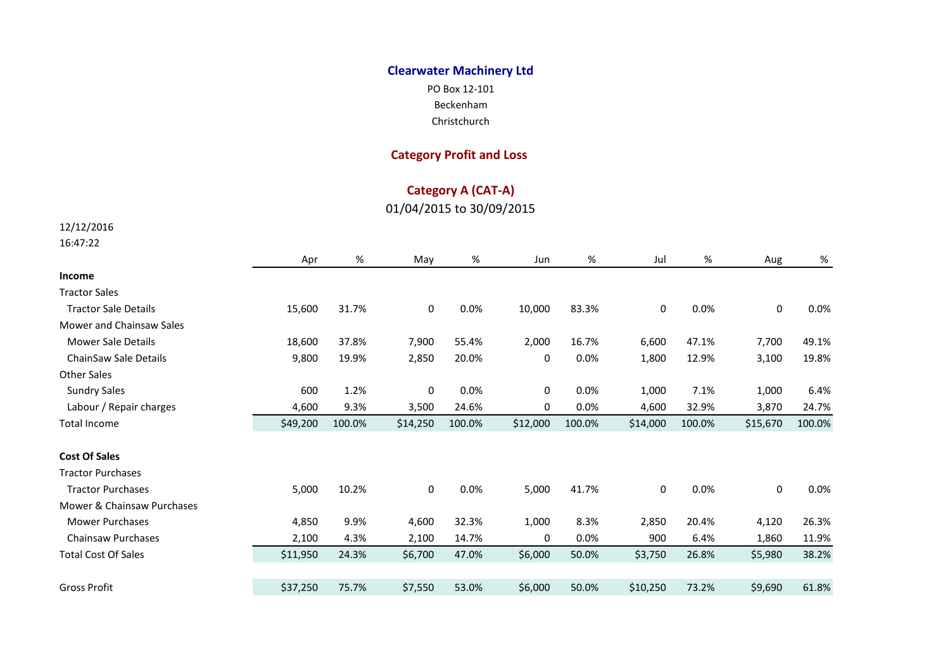## **Clearwater Machinery Ltd**

PO Box 12-101 Beckenham

Christchurch

## **Category Profit and Loss**

## **Category A (CAT-A)**

01/04/2015 to 30/09/2015

12/12/2016

16:47:22

|                             | Apr      | %      | May      | %      | Jun      | %      | Jul      | %      | Aug      | %      |
|-----------------------------|----------|--------|----------|--------|----------|--------|----------|--------|----------|--------|
| Income                      |          |        |          |        |          |        |          |        |          |        |
| <b>Tractor Sales</b>        |          |        |          |        |          |        |          |        |          |        |
| <b>Tractor Sale Details</b> | 15,600   | 31.7%  | 0        | 0.0%   | 10,000   | 83.3%  | 0        | 0.0%   | 0        | 0.0%   |
| Mower and Chainsaw Sales    |          |        |          |        |          |        |          |        |          |        |
| <b>Mower Sale Details</b>   | 18,600   | 37.8%  | 7,900    | 55.4%  | 2,000    | 16.7%  | 6,600    | 47.1%  | 7,700    | 49.1%  |
| ChainSaw Sale Details       | 9,800    | 19.9%  | 2,850    | 20.0%  | 0        | 0.0%   | 1,800    | 12.9%  | 3,100    | 19.8%  |
| <b>Other Sales</b>          |          |        |          |        |          |        |          |        |          |        |
| <b>Sundry Sales</b>         | 600      | 1.2%   | 0        | 0.0%   | 0        | 0.0%   | 1,000    | 7.1%   | 1,000    | 6.4%   |
| Labour / Repair charges     | 4,600    | 9.3%   | 3,500    | 24.6%  | 0        | 0.0%   | 4,600    | 32.9%  | 3,870    | 24.7%  |
| <b>Total Income</b>         | \$49,200 | 100.0% | \$14,250 | 100.0% | \$12,000 | 100.0% | \$14,000 | 100.0% | \$15,670 | 100.0% |
| <b>Cost Of Sales</b>        |          |        |          |        |          |        |          |        |          |        |
| <b>Tractor Purchases</b>    |          |        |          |        |          |        |          |        |          |        |
| <b>Tractor Purchases</b>    | 5,000    | 10.2%  | 0        | 0.0%   | 5,000    | 41.7%  | 0        | 0.0%   | 0        | 0.0%   |
| Mower & Chainsaw Purchases  |          |        |          |        |          |        |          |        |          |        |
| <b>Mower Purchases</b>      | 4,850    | 9.9%   | 4,600    | 32.3%  | 1,000    | 8.3%   | 2,850    | 20.4%  | 4,120    | 26.3%  |
| <b>Chainsaw Purchases</b>   | 2,100    | 4.3%   | 2,100    | 14.7%  | 0        | 0.0%   | 900      | 6.4%   | 1,860    | 11.9%  |
| <b>Total Cost Of Sales</b>  | \$11,950 | 24.3%  | \$6,700  | 47.0%  | \$6,000  | 50.0%  | \$3,750  | 26.8%  | \$5,980  | 38.2%  |
|                             |          |        |          |        |          |        |          |        |          |        |
| <b>Gross Profit</b>         | \$37,250 | 75.7%  | \$7,550  | 53.0%  | \$6,000  | 50.0%  | \$10,250 | 73.2%  | \$9,690  | 61.8%  |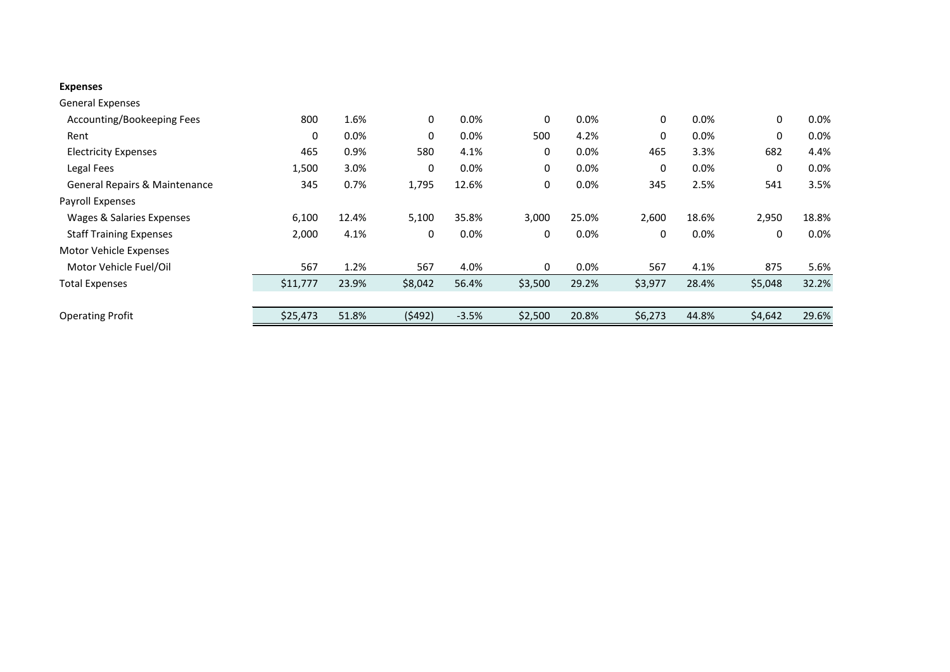## **Expenses**

| <b>General Expenses</b>        |          |       |         |         |         |       |         |         |         |         |
|--------------------------------|----------|-------|---------|---------|---------|-------|---------|---------|---------|---------|
| Accounting/Bookeeping Fees     | 800      | 1.6%  | 0       | $0.0\%$ | 0       | 0.0%  | 0       | $0.0\%$ | 0       | $0.0\%$ |
| Rent                           | 0        | 0.0%  | 0       | 0.0%    | 500     | 4.2%  | 0       | 0.0%    | 0       | 0.0%    |
| <b>Electricity Expenses</b>    | 465      | 0.9%  | 580     | 4.1%    | 0       | 0.0%  | 465     | 3.3%    | 682     | 4.4%    |
| Legal Fees                     | 1,500    | 3.0%  | 0       | 0.0%    | 0       | 0.0%  | 0       | $0.0\%$ | 0       | 0.0%    |
| General Repairs & Maintenance  | 345      | 0.7%  | 1,795   | 12.6%   | 0       | 0.0%  | 345     | 2.5%    | 541     | 3.5%    |
| Payroll Expenses               |          |       |         |         |         |       |         |         |         |         |
| Wages & Salaries Expenses      | 6,100    | 12.4% | 5,100   | 35.8%   | 3,000   | 25.0% | 2,600   | 18.6%   | 2,950   | 18.8%   |
| <b>Staff Training Expenses</b> | 2,000    | 4.1%  | 0       | 0.0%    | 0       | 0.0%  | 0       | 0.0%    | 0       | 0.0%    |
| Motor Vehicle Expenses         |          |       |         |         |         |       |         |         |         |         |
| Motor Vehicle Fuel/Oil         | 567      | 1.2%  | 567     | 4.0%    | 0       | 0.0%  | 567     | 4.1%    | 875     | 5.6%    |
| <b>Total Expenses</b>          | \$11,777 | 23.9% | \$8,042 | 56.4%   | \$3,500 | 29.2% | \$3,977 | 28.4%   | \$5,048 | 32.2%   |
|                                |          |       |         |         |         |       |         |         |         |         |
| <b>Operating Profit</b>        | \$25,473 | 51.8% | (5492)  | $-3.5%$ | \$2,500 | 20.8% | \$6,273 | 44.8%   | \$4,642 | 29.6%   |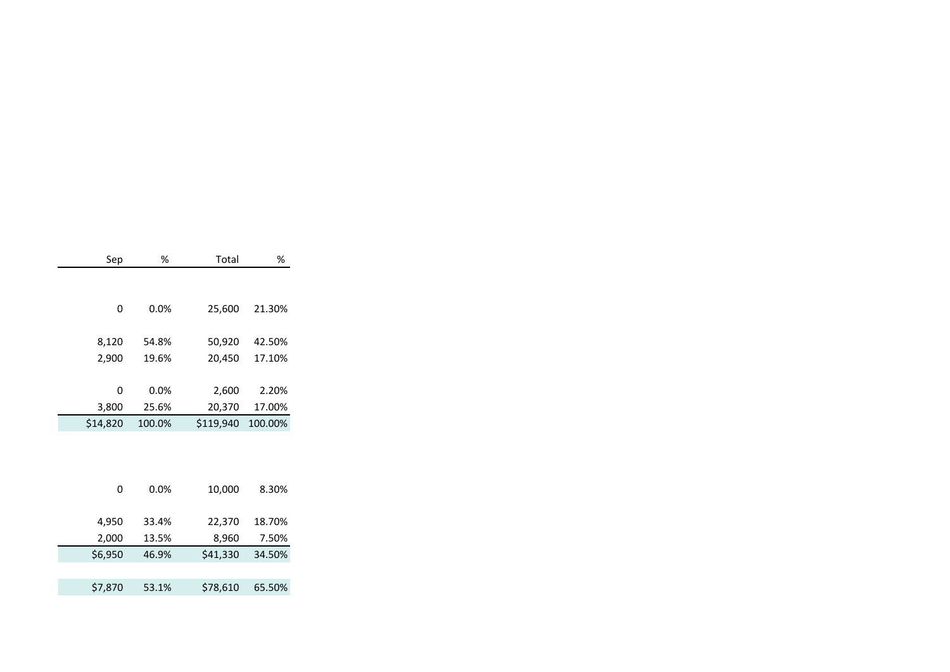|          | Sep   | %      | Total     | %       |
|----------|-------|--------|-----------|---------|
|          |       |        |           |         |
|          | 0     | 0.0%   | 25,600    | 21.30%  |
|          | 8,120 | 54.8%  | 50,920    | 42.50%  |
|          | 2,900 | 19.6%  | 20,450    | 17.10%  |
|          | 0     | 0.0%   | 2,600     | 2.20%   |
|          | 3,800 | 25.6%  | 20,370    | 17.00%  |
| \$14,820 |       | 100.0% | \$119,940 | 100.00% |
|          |       |        |           |         |
|          | 0     | 0.0%   | 10,000    | 8.30%   |
|          | 4,950 | 33.4%  | 22,370    | 18.70%  |
|          | 2,000 | 13.5%  | 8,960     | 7.50%   |
| \$6,950  |       | 46.9%  | \$41,330  | 34.50%  |
|          |       |        |           |         |
| \$7,870  |       | 53.1%  | \$78,610  | 65.50%  |